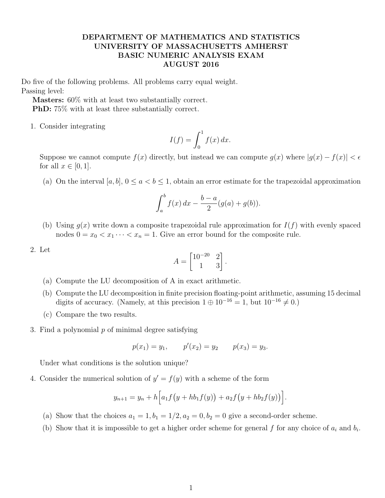## DEPARTMENT OF MATHEMATICS AND STATISTICS UNIVERSITY OF MASSACHUSETTS AMHERST BASIC NUMERIC ANALYSIS EXAM AUGUST 2016

Do five of the following problems. All problems carry equal weight. Passing level:

Masters: 60% with at least two substantially correct.

PhD: 75% with at least three substantially correct.

1. Consider integrating

$$
I(f) = \int_0^1 f(x) \, dx.
$$

Suppose we cannot compute  $f(x)$  directly, but instead we can compute  $g(x)$  where  $|g(x) - f(x)| < \epsilon$ for all  $x \in [0, 1]$ .

(a) On the interval  $[a, b], 0 \le a < b \le 1$ , obtain an error estimate for the trapezoidal approximation

$$
\int_{a}^{b} f(x) dx - \frac{b-a}{2} (g(a) + g(b)).
$$

- (b) Using  $g(x)$  write down a composite trapezoidal rule approximation for  $I(f)$  with evenly spaced nodes  $0 = x_0 < x_1 \cdots < x_n = 1$ . Give an error bound for the composite rule.
- 2. Let

$$
A = \begin{bmatrix} 10^{-20} & 2 \\ 1 & 3 \end{bmatrix}.
$$

- (a) Compute the LU decomposition of A in exact arithmetic.
- (b) Compute the LU decomposition in finite precision floating-point arithmetic, assuming 15 decimal digits of accuracy. (Namely, at this precision  $1 \oplus 10^{-16} = 1$ , but  $10^{-16} \neq 0$ .)
- (c) Compare the two results.
- 3. Find a polynomial  $p$  of minimal degree satisfying

$$
p(x_1) = y_1
$$
,  $p'(x_2) = y_2$   $p(x_3) = y_3$ .

Under what conditions is the solution unique?

4. Consider the numerical solution of  $y' = f(y)$  with a scheme of the form

$$
y_{n+1} = y_n + h \Big[ a_1 f(y + hb_1 f(y)) + a_2 f(y + hb_2 f(y)) \Big].
$$

- (a) Show that the choices  $a_1 = 1$ ,  $b_1 = 1/2$ ,  $a_2 = 0$ ,  $b_2 = 0$  give a second-order scheme.
- (b) Show that it is impossible to get a higher order scheme for general f for any choice of  $a_i$  and  $b_i$ .